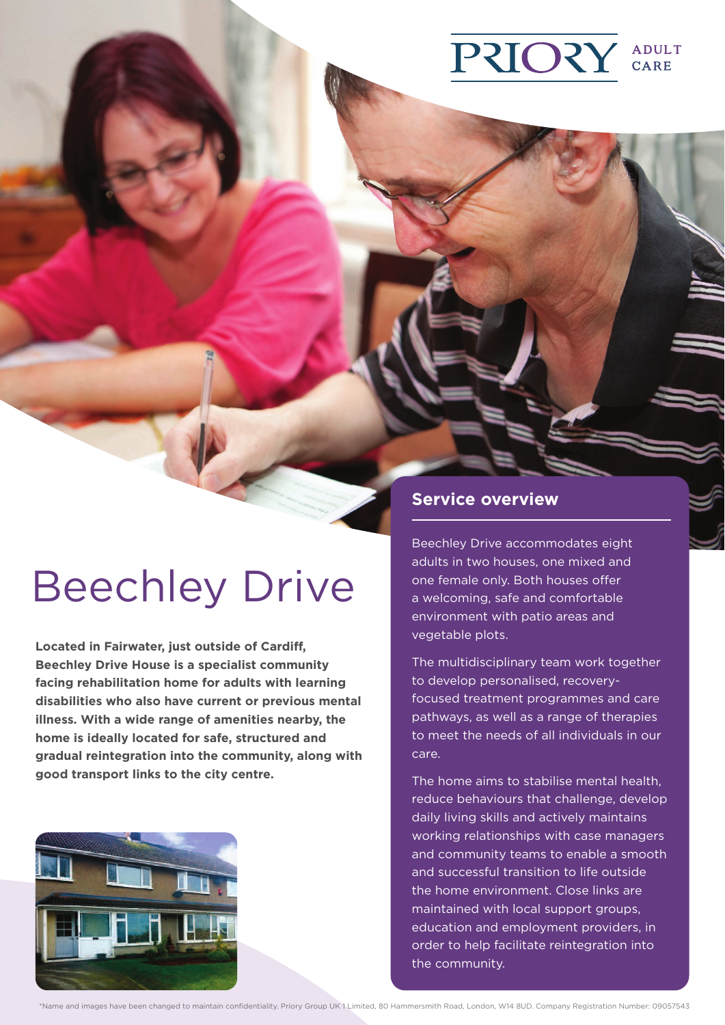## **PRIORY** ADULT<br>CARE

# Beechley Drive

**Located in Fairwater, just outside of Cardiff, Beechley Drive House is a specialist community facing rehabilitation home for adults with learning disabilities who also have current or previous mental illness. With a wide range of amenities nearby, the home is ideally located for safe, structured and gradual reintegration into the community, along with good transport links to the city centre.**



## **Service overview**

Beechley Drive accommodates eight adults in two houses, one mixed and one female only. Both houses offer a welcoming, safe and comfortable environment with patio areas and vegetable plots.

The multidisciplinary team work together to develop personalised, recoveryfocused treatment programmes and care pathways, as well as a range of therapies to meet the needs of all individuals in our care.

The home aims to stabilise mental health, reduce behaviours that challenge, develop daily living skills and actively maintains working relationships with case managers and community teams to enable a smooth and successful transition to life outside the home environment. Close links are maintained with local support groups, education and employment providers, in order to help facilitate reintegration into the community.